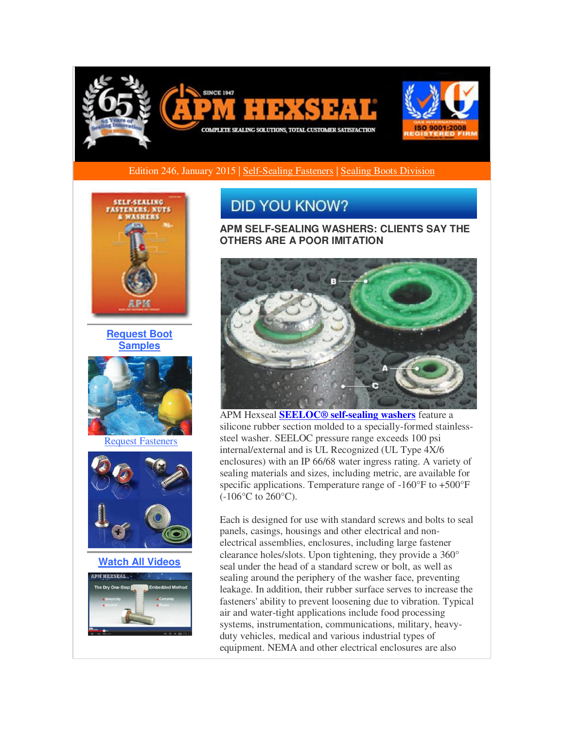

### Edition 246, January 2015 [| Self-Sealing Fasteners](http://r20.rs6.net/tn.jsp?f=0012IRXhsf230jk9PnQheeE1bzgF2iqbVyS2fAdjecf1xPJkb_uU5jtuT-ILa_MQWCQru7rtDkwcKcjG7sol-VkE_BvNpUaNRoc8nzkIExJXzweedJ3X5ZobYlXQyh2w3tfdk1DqjXRt0QZLSlze4wzr8o2MdGLK8J83ur9T7DSfkFULNaq45y0xF7lvpzgqGV5I88136vcMlC98Gdq81gXEh2g2dRUXVFP3bDZdrIWjoDo98zVJ4GYzVav89Rjiy_Ox2SnG3WjiHSbq0X8a7LCOETeB9fMtd2P_F_lWD24yGShA2vbf_V2QeOtq3KrtJR9&c=vZn_YkqMWNs-Z9JcnO0Bz41wqd7JkIcyLxHqFQfSShj89HTbpTyrQg==&ch=L2Qu8AiILy8R_FTezjOjEmOmcrCnws8nWsQsaUrFqFjMlSBDIbNU3g==) | [Sealing Boots Division](http://r20.rs6.net/tn.jsp?f=0012IRXhsf230jk9PnQheeE1bzgF2iqbVyS2fAdjecf1xPJkb_uU5jtuT-ILa_MQWCQIf3tNfxOcRwK5goUUrgCQBwRWF8C7Fhh320anUIa5tsXWiWgRmDpwz2BgAsZmif59NJEyhvAHfhJlUnQGftuP00OIAnA00LibL3rLmjsebRj-8UytKi_kZnkRb_jd6oGlZmEbWm0iyDXU5X_pB0JnWCmYhj-wK7sdHR1qA_o9oXrv4qAKSqLJMwEX_jWf9ShUUFnLIL2X-vAzVsClgFPC2h8GVsZ07tVIMOLFDSNlEE=&c=vZn_YkqMWNs-Z9JcnO0Bz41wqd7JkIcyLxHqFQfSShj89HTbpTyrQg==&ch=L2Qu8AiILy8R_FTezjOjEmOmcrCnws8nWsQsaUrFqFjMlSBDIbNU3g==)



**[Request Boot](http://r20.rs6.net/tn.jsp?f=0012IRXhsf230jk9PnQheeE1bzgF2iqbVyS2fAdjecf1xPJkb_uU5jtuT-ILa_MQWCQsLRzKrg0R0p3KJ9WAJ_ovJRZGOLL1ln7seLJdQavM3s6c6F5fnsweW-i2ig4e7ZdcrmoofxgyoBUE1WUWwT3rvMOnB3MV1xs7Phqh8d_9G_ZuFfm4lq6v5hdnmYwTqYolOdm4mnkTNpJ-DiwnqGb9nWbwtYCxWbZOVX9W1w34CGo00Tk1TNu2YkoYYI2EFekuk32U7IhcdU_IIl41pK3Ph4bsKnric3PVIFz9jvi8DIn3X44WE9TOoGZV7GvT8cr&c=vZn_YkqMWNs-Z9JcnO0Bz41wqd7JkIcyLxHqFQfSShj89HTbpTyrQg==&ch=L2Qu8AiILy8R_FTezjOjEmOmcrCnws8nWsQsaUrFqFjMlSBDIbNU3g==)  [Samples](http://r20.rs6.net/tn.jsp?f=0012IRXhsf230jk9PnQheeE1bzgF2iqbVyS2fAdjecf1xPJkb_uU5jtuT-ILa_MQWCQsLRzKrg0R0p3KJ9WAJ_ovJRZGOLL1ln7seLJdQavM3s6c6F5fnsweW-i2ig4e7ZdcrmoofxgyoBUE1WUWwT3rvMOnB3MV1xs7Phqh8d_9G_ZuFfm4lq6v5hdnmYwTqYolOdm4mnkTNpJ-DiwnqGb9nWbwtYCxWbZOVX9W1w34CGo00Tk1TNu2YkoYYI2EFekuk32U7IhcdU_IIl41pK3Ph4bsKnric3PVIFz9jvi8DIn3X44WE9TOoGZV7GvT8cr&c=vZn_YkqMWNs-Z9JcnO0Bz41wqd7JkIcyLxHqFQfSShj89HTbpTyrQg==&ch=L2Qu8AiILy8R_FTezjOjEmOmcrCnws8nWsQsaUrFqFjMlSBDIbNU3g==)**



[Request Fasteners](http://r20.rs6.net/tn.jsp?f=0012IRXhsf230jk9PnQheeE1bzgF2iqbVyS2fAdjecf1xPJkb_uU5jtuT-ILa_MQWCQ64H6vvQlahR3ABahW-UsNbinm_IGqDxUyRnDUBhtAlBZKcpiVjC9FmZPUKH17ovZx-vKvflJ3-7pmlv-PSQMqeqRbUkj_knOZOGzhVXKIqlG5KPIsc4etdosRC44O4TK9PHnh9gLBgP7JG4KKmOdT60Kf48fKIWWn-KLzdSNt2HxSuQkYSfIsttw6QoLTQXjiBDBn2n_GuNQj2VUA9wgMRYKa0BS_ypw4YmHFAxnoLdib6C20W1jcg==&c=vZn_YkqMWNs-Z9JcnO0Bz41wqd7JkIcyLxHqFQfSShj89HTbpTyrQg==&ch=L2Qu8AiILy8R_FTezjOjEmOmcrCnws8nWsQsaUrFqFjMlSBDIbNU3g==)



**[Watch All Videos](http://r20.rs6.net/tn.jsp?f=0012IRXhsf230jk9PnQheeE1bzgF2iqbVyS2fAdjecf1xPJkb_uU5jtuT-ILa_MQWCQrGANuaZJBbJCTMFEdg7lzEhtRj9ATQbkJX8qQ2LHPjM59I-EDLJeKpfWf7CTfmCw3zaX12M_qFxHUkq99q_hw7mF76EtUZIMcYcQxIGaiGkDO2FCLOMgdwHv_HoNH1hBTR62UYeXtyjWYAUDiOWo7acZ2PGyC8PYUvu3ITlFXg1bff9pIZMrSRQHXnaPx0dR7I6V7HUzaIOMq1YGVsCJSzuF_7n8UYxhe2edvdFfScI=&c=vZn_YkqMWNs-Z9JcnO0Bz41wqd7JkIcyLxHqFQfSShj89HTbpTyrQg==&ch=L2Qu8AiILy8R_FTezjOjEmOmcrCnws8nWsQsaUrFqFjMlSBDIbNU3g==)**



# **DID YOU KNOW?**

**APM SELF-SEALING WASHERS: CLIENTS SAY THE OTHERS ARE A POOR IMITATION** 



APM Hexseal **[SEELOC® self-sealing washers](http://r20.rs6.net/tn.jsp?f=0012IRXhsf230jk9PnQheeE1bzgF2iqbVyS2fAdjecf1xPJkb_uU5jtuT-ILa_MQWCQ2snGOrGKwwL-rPJ3xuDvD9SVC__IHqW7DukorYRrlMbx8J2EuKA0Mk8O1j2SAPg6xpNHU2zrbbQ9NdfOf6L65fpJNH8hUqF-QGSi5Hp5OPVL0cOnT9Xw5UaJx1nIApLBhT9waPqkP7g3-ogHyjTDm_a-RR0MnthcARSBdFfD8L6gSpefEzzql3CfBwFeAtPnGrOkFTBqeQzXiJPo6Dm-SrFumdBAa8f924o0M0toOHLOVR0qUI3oAw==&c=vZn_YkqMWNs-Z9JcnO0Bz41wqd7JkIcyLxHqFQfSShj89HTbpTyrQg==&ch=L2Qu8AiILy8R_FTezjOjEmOmcrCnws8nWsQsaUrFqFjMlSBDIbNU3g==)** feature a silicone rubber section molded to a specially-formed stainlesssteel washer. SEELOC pressure range exceeds 100 psi internal/external and is UL Recognized (UL Type 4X/6 enclosures) with an IP 66/68 water ingress rating. A variety of sealing materials and sizes, including metric, are available for specific applications. Temperature range of -160°F to +500°F (-106°C to 260°C).

Each is designed for use with standard screws and bolts to seal panels, casings, housings and other electrical and nonelectrical assemblies, enclosures, including large fastener clearance holes/slots. Upon tightening, they provide a 360° seal under the head of a standard screw or bolt, as well as sealing around the periphery of the washer face, preventing leakage. In addition, their rubber surface serves to increase the fasteners' ability to prevent loosening due to vibration. Typical air and water-tight applications include food processing systems, instrumentation, communications, military, heavyduty vehicles, medical and various industrial types of equipment. NEMA and other electrical enclosures are also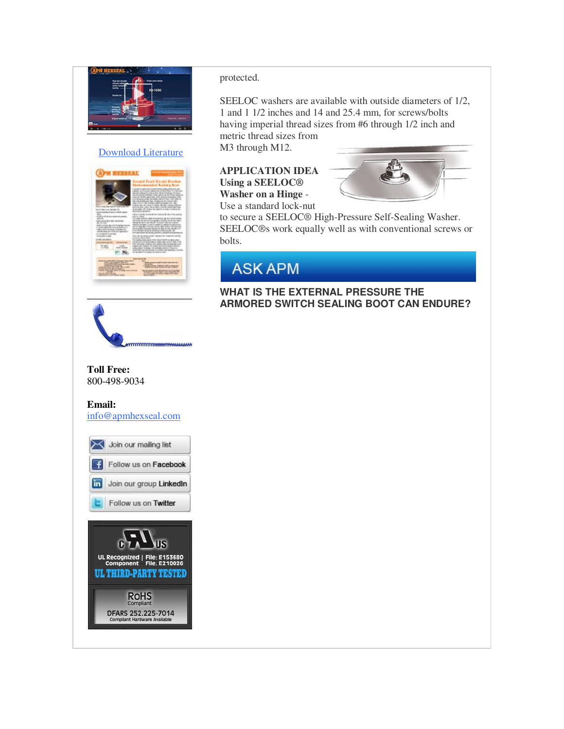

## [Download Literature](http://r20.rs6.net/tn.jsp?f=0012IRXhsf230jk9PnQheeE1bzgF2iqbVyS2fAdjecf1xPJkb_uU5jtuT-ILa_MQWCQLvHAt8cKLqikTGVvwzjncdnvrVcz_s7mloM998uj8ig8RQmzDPt2MNlmriUXX3iQPa6zeBbLn_YQzvp1_RtX4-BLloYUGfZD0Y5Q0cOO0sl0SbEzI4TaiHmRc7P3f1tCFj1-dVp6giv8ObjhQkajOT3qNapceVE8ZMd7udHoBaShzG3SVSZ2z7R5dSOk-gQ04ATJ4Fa4eS_8ATUx4gL5Q6I6KWXb1PL9eZXKipvmeFs=&c=vZn_YkqMWNs-Z9JcnO0Bz41wqd7JkIcyLxHqFQfSShj89HTbpTyrQg==&ch=L2Qu8AiILy8R_FTezjOjEmOmcrCnws8nWsQsaUrFqFjMlSBDIbNU3g==)



#### protected.

SEELOC washers are available with outside diameters of 1/2, 1 and 1 1/2 inches and 14 and 25.4 mm, for screws/bolts having imperial thread sizes from #6 through 1/2 inch and metric thread sizes from

M3 through M12.

#### **APPLICATION IDEA Using a SEELOC® Washer on a Hinge** - Use a standard lock-nut



to secure a SEELOC® High-Pressure Self-Sealing Washer. SEELOC®s work equally well as with conventional screws or bolts.

## **ASK APM**

## **WHAT IS THE EXTERNAL PRESSURE THE ARMORED SWITCH SEALING BOOT CAN ENDURE?**



#### **Toll Free:**  800-498-9034

#### **Email:**

[info@apmhexseal.com](mailto:info@apmhexseal.com)





**ROHS** DFARS 252.225-7014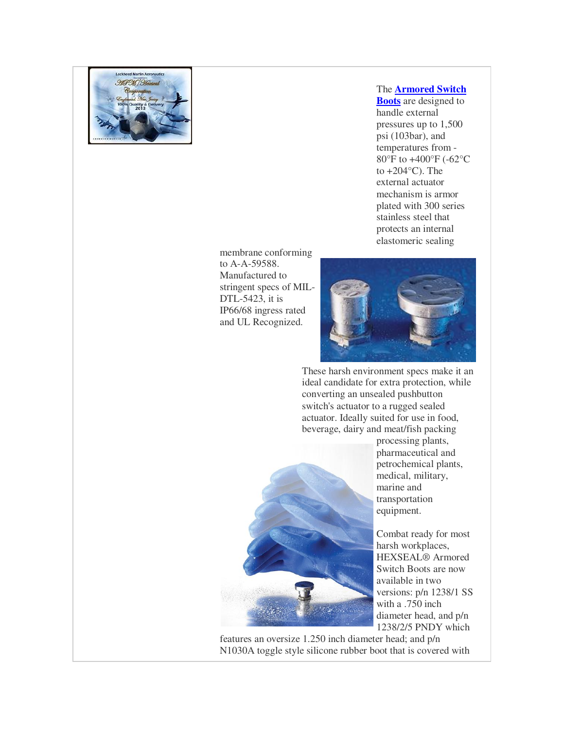

## The **[Armored Switch](http://r20.rs6.net/tn.jsp?f=0012IRXhsf230jk9PnQheeE1bzgF2iqbVyS2fAdjecf1xPJkb_uU5jtuT-ILa_MQWCQTgs_8y3--llMbqxevt7PjoA8i2bSk2vuVqYDzxSbYwYTbK6Jm3lWHeS-0cDdTdVPeGqP6qCQhzD2k2REM2yP1N64FLy5T4ecT2rQMan1ipEdGjdeyLBJBXMKVfHHsOuxyKKEiGvWbR4n8kVi7ono3NVg7klkq9Ilu9ObZL75jFop3iHXRShE3L6UvpQhWWxOgX2blVshPhBEowCJGSEmEFv4dqcLax3OLQhSYFwQQXqDqxpGxEaMZmdoe-3hcL3RCvdX9spapm3Ozxr_TQHw2UJEY1uAPHTXDeLxFZ_YYaseoIRAhiuCpvTpTb-e1ZUNhgDDHLBhJMY=&c=vZn_YkqMWNs-Z9JcnO0Bz41wqd7JkIcyLxHqFQfSShj89HTbpTyrQg==&ch=L2Qu8AiILy8R_FTezjOjEmOmcrCnws8nWsQsaUrFqFjMlSBDIbNU3g==)**

**[Boots](http://r20.rs6.net/tn.jsp?f=0012IRXhsf230jk9PnQheeE1bzgF2iqbVyS2fAdjecf1xPJkb_uU5jtuT-ILa_MQWCQTgs_8y3--llMbqxevt7PjoA8i2bSk2vuVqYDzxSbYwYTbK6Jm3lWHeS-0cDdTdVPeGqP6qCQhzD2k2REM2yP1N64FLy5T4ecT2rQMan1ipEdGjdeyLBJBXMKVfHHsOuxyKKEiGvWbR4n8kVi7ono3NVg7klkq9Ilu9ObZL75jFop3iHXRShE3L6UvpQhWWxOgX2blVshPhBEowCJGSEmEFv4dqcLax3OLQhSYFwQQXqDqxpGxEaMZmdoe-3hcL3RCvdX9spapm3Ozxr_TQHw2UJEY1uAPHTXDeLxFZ_YYaseoIRAhiuCpvTpTb-e1ZUNhgDDHLBhJMY=&c=vZn_YkqMWNs-Z9JcnO0Bz41wqd7JkIcyLxHqFQfSShj89HTbpTyrQg==&ch=L2Qu8AiILy8R_FTezjOjEmOmcrCnws8nWsQsaUrFqFjMlSBDIbNU3g==)** are designed to handle external pressures up to 1,500 psi (103bar), and temperatures from - 80°F to +400°F (-62°C to  $+204$ °C). The external actuator mechanism is armor plated with 300 series stainless steel that protects an internal elastomeric sealing

membrane conforming to A-A-59588. Manufactured to stringent specs of MIL-DTL-5423, it is IP66/68 ingress rated and UL Recognized.



These harsh environment specs make it an ideal candidate for extra protection, while converting an unsealed pushbutton switch's actuator to a rugged sealed actuator. Ideally suited for use in food, beverage, dairy and meat/fish packing



processing plants, pharmaceutical and petrochemical plants, medical, military, marine and transportation equipment.

Combat ready for most harsh workplaces, HEXSEAL® Armored Switch Boots are now available in two versions: p/n 1238/1 SS with a .750 inch diameter head, and p/n 1238/2/5 PNDY which

features an oversize 1.250 inch diameter head; and p/n N1030A toggle style silicone rubber boot that is covered with